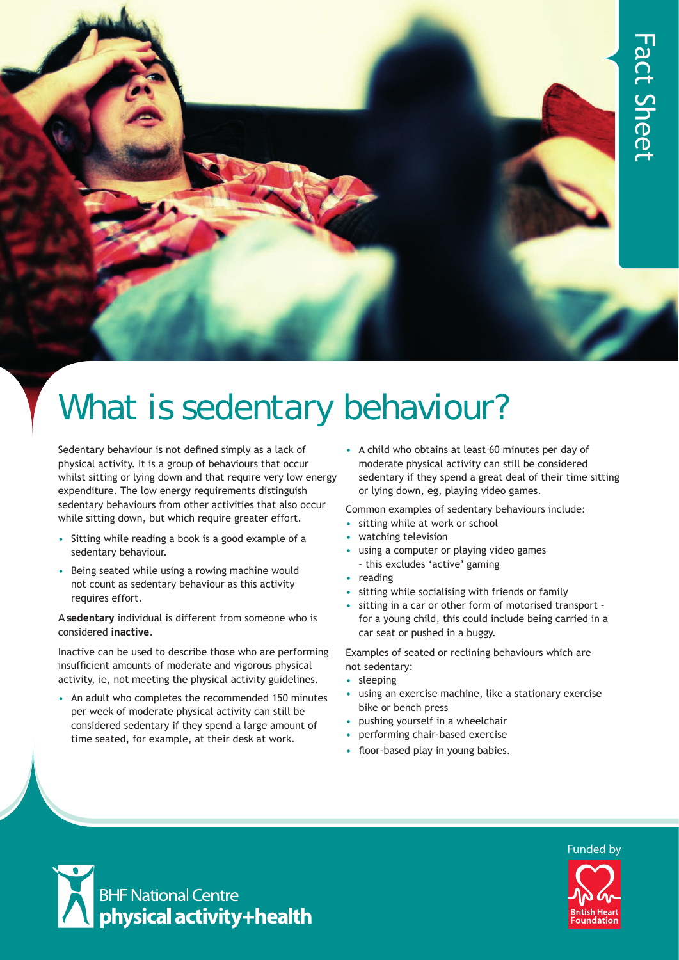

# What is sedentary behaviour?

Sedentary behaviour is not defined simply as a lack of physical activity. It is a group of behaviours that occur whilst sitting or lying down and that require very low energy expenditure. The low energy requirements distinguish sedentary behaviours from other activities that also occur while sitting down, but which require greater effort.

- Sitting while reading a book is a good example of a sedentary behaviour.
- Being seated while using a rowing machine would not count as sedentary behaviour as this activity requires effort.

A **sedentary** individual is different from someone who is considered **inactive**.

Inactive can be used to describe those who are performing insufficient amounts of moderate and vigorous physical activity, ie, not meeting the physical activity guidelines.

• An adult who completes the recommended 150 minutes per week of moderate physical activity can still be considered sedentary if they spend a large amount of time seated, for example, at their desk at work.

• A child who obtains at least 60 minutes per day of moderate physical activity can still be considered sedentary if they spend a great deal of their time sitting or lying down, eg, playing video games.

Common examples of sedentary behaviours include:

- sitting while at work or school
- watching television
- using a computer or playing video games – this excludes 'active' gaming
- reading
- sitting while socialising with friends or family
- sitting in a car or other form of motorised transport for a young child, this could include being carried in a car seat or pushed in a buggy.

Examples of seated or reclining behaviours which are not sedentary:

- sleeping
- using an exercise machine, like a stationary exercise bike or bench press
- pushing yourself in a wheelchair
- performing chair-based exercise
- floor-based play in young babies.